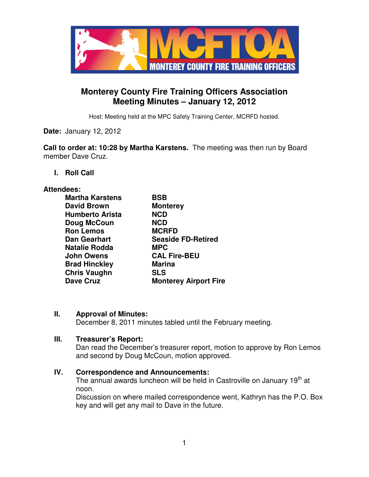

# **Monterey County Fire Training Officers Association Meeting Minutes – January 12, 2012**

Host: Meeting held at the MPC Safety Training Center, MCRFD hosted.

**Date:** January 12, 2012

**Call to order at: 10:28 by Martha Karstens.** The meeting was then run by Board member Dave Cruz.

**I. Roll Call** 

#### **Attendees:**

| <b>Martha Karstens</b> | <b>BSB</b>                   |
|------------------------|------------------------------|
| <b>David Brown</b>     | <b>Monterey</b>              |
| <b>Humberto Arista</b> | <b>NCD</b>                   |
| Doug McCoun            | <b>NCD</b>                   |
| <b>Ron Lemos</b>       | <b>MCRFD</b>                 |
| <b>Dan Gearhart</b>    | <b>Seaside FD-Retired</b>    |
| <b>Natalie Rodda</b>   | <b>MPC</b>                   |
| <b>John Owens</b>      | <b>CAL Fire-BEU</b>          |
| <b>Brad Hinckley</b>   | <b>Marina</b>                |
| <b>Chris Vaughn</b>    | <b>SLS</b>                   |
| <b>Dave Cruz</b>       | <b>Monterey Airport Fire</b> |
|                        |                              |

#### **II. Approval of Minutes:**

December 8, 2011 minutes tabled until the February meeting.

#### **III. Treasurer's Report:**

Dan read the December's treasurer report, motion to approve by Ron Lemos and second by Doug McCoun, motion approved.

#### **IV. Correspondence and Announcements:**

The annual awards luncheon will be held in Castroville on January 19<sup>th</sup> at noon.

Discussion on where mailed correspondence went, Kathryn has the P.O. Box key and will get any mail to Dave in the future.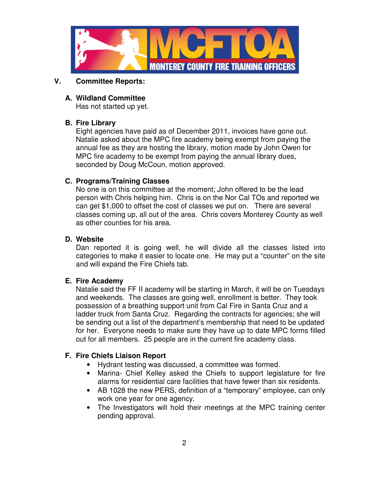

# **V. Committee Reports:**

# **A. Wildland Committee**

Has not started up yet.

## **B. Fire Library**

Eight agencies have paid as of December 2011, invoices have gone out. Natalie asked about the MPC fire academy being exempt from paying the annual fee as they are hosting the library, motion made by John Owen for MPC fire academy to be exempt from paying the annual library dues, seconded by Doug McCoun, motion approved.

# **C. Programs/Training Classes**

No one is on this committee at the moment; John offered to be the lead person with Chris helping him. Chris is on the Nor Cal TOs and reported we can get \$1,000 to offset the cost of classes we put on. There are several classes coming up, all out of the area. Chris covers Monterey County as well as other counties for his area.

# **D. Website**

Dan reported it is going well, he will divide all the classes listed into categories to make it easier to locate one. He may put a "counter" on the site and will expand the Fire Chiefs tab.

## **E. Fire Academy**

Natalie said the FF II academy will be starting in March, it will be on Tuesdays and weekends. The classes are going well, enrollment is better. They took possession of a breathing support unit from Cal Fire in Santa Cruz and a ladder truck from Santa Cruz. Regarding the contracts for agencies; she will be sending out a list of the department's membership that need to be updated for her. Everyone needs to make sure they have up to date MPC forms filled out for all members. 25 people are in the current fire academy class.

# **F. Fire Chiefs Liaison Report**

- Hydrant testing was discussed, a committee was formed.
- Marina- Chief Kelley asked the Chiefs to support legislature for fire alarms for residential care facilities that have fewer than six residents.
- AB 1028 the new PERS, definition of a "temporary" employee, can only work one year for one agency.
- The Investigators will hold their meetings at the MPC training center pending approval.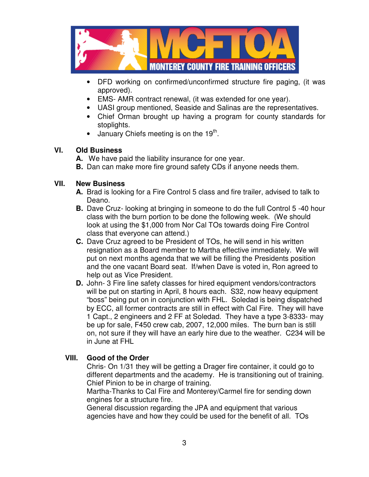

- DFD working on confirmed/unconfirmed structure fire paging, (it was approved).
- EMS- AMR contract renewal, (it was extended for one year).
- UASI group mentioned, Seaside and Salinas are the representatives.
- Chief Orman brought up having a program for county standards for stoplights.
- $\bullet$  January Chiefs meeting is on the 19<sup>th</sup>.

#### **VI. Old Business**

- **A.** We have paid the liability insurance for one year.
- **B.** Dan can make more fire ground safety CDs if anyone needs them.

## **VII. New Business**

- **A.** Brad is looking for a Fire Control 5 class and fire trailer, advised to talk to Deano.
- **B.** Dave Cruz- looking at bringing in someone to do the full Control 5 -40 hour class with the burn portion to be done the following week. (We should look at using the \$1,000 from Nor Cal TOs towards doing Fire Control class that everyone can attend.)
- **C.** Dave Cruz agreed to be President of TOs, he will send in his written resignation as a Board member to Martha effective immediately. We will put on next months agenda that we will be filling the Presidents position and the one vacant Board seat. If/when Dave is voted in, Ron agreed to help out as Vice President.
- **D.** John- 3 Fire line safety classes for hired equipment vendors/contractors will be put on starting in April, 8 hours each. S32, now heavy equipment "boss" being put on in conjunction with FHL.Soledad is being dispatched by ECC, all former contracts are still in effect with Cal Fire. They will have 1 Capt., 2 engineers and 2 FF at Soledad. They have a type 3-8333- may be up for sale, F450 crew cab, 2007, 12,000 miles. The burn ban is still on, not sure if they will have an early hire due to the weather. C234 will be in June at FHL

## **VIII. Good of the Order**

Chris- On 1/31 they will be getting a Drager fire container, it could go to different departments and the academy. He is transitioning out of training. Chief Pinion to be in charge of training.

Martha-Thanks to Cal Fire and Monterey/Carmel fire for sending down engines for a structure fire.

General discussion regarding the JPA and equipment that various agencies have and how they could be used for the benefit of all. TOs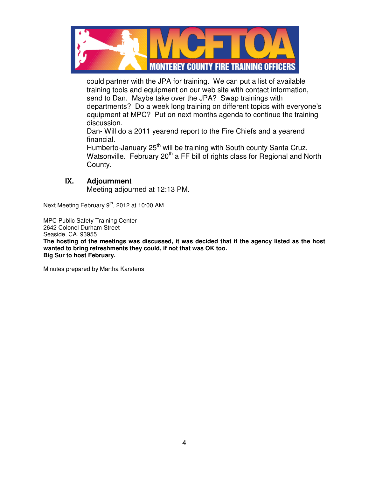

could partner with the JPA for training. We can put a list of available training tools and equipment on our web site with contact information, send to Dan. Maybe take over the JPA? Swap trainings with departments? Do a week long training on different topics with everyone's equipment at MPC? Put on next months agenda to continue the training discussion.

Dan- Will do a 2011 yearend report to the Fire Chiefs and a yearend financial.

Humberto-January 25<sup>th</sup> will be training with South county Santa Cruz, Watsonville. February 20<sup>th</sup> a FF bill of rights class for Regional and North County.

## **IX. Adjournment**

Meeting adjourned at 12:13 PM.

Next Meeting February 9<sup>th</sup>, 2012 at 10:00 AM.

MPC Public Safety Training Center 2642 Colonel Durham Street Seaside, CA. 93955 **The hosting of the meetings was discussed, it was decided that if the agency listed as the host wanted to bring refreshments they could, if not that was OK too. Big Sur to host February.**

Minutes prepared by Martha Karstens